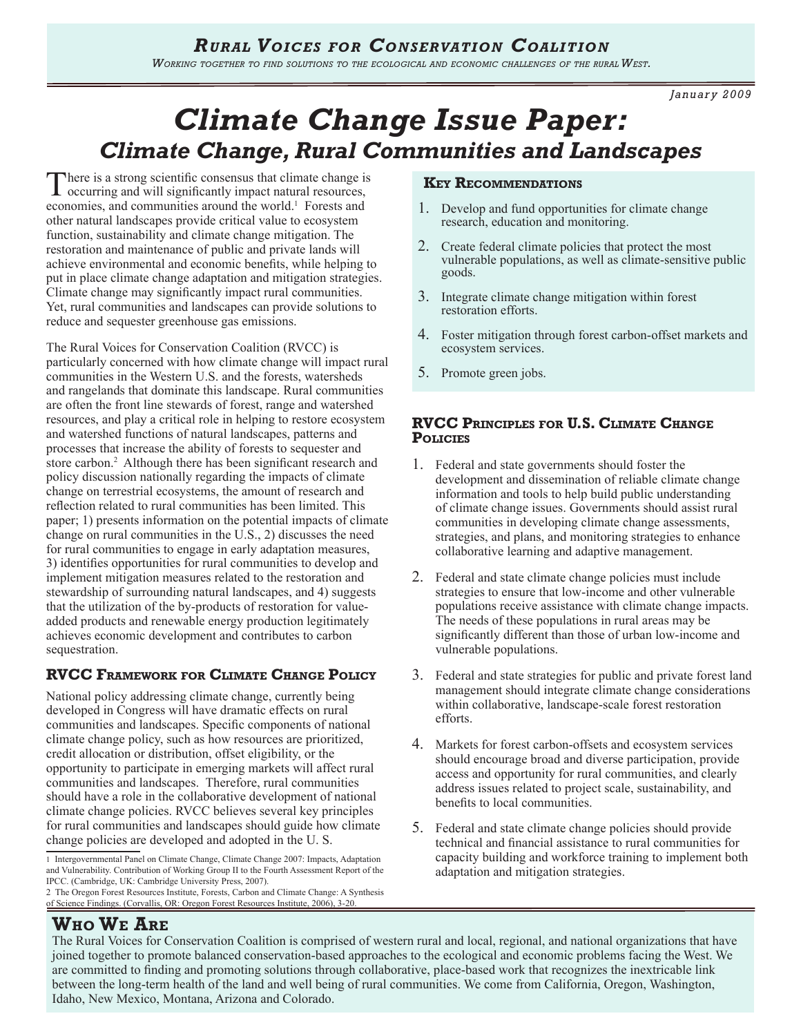*Working together to find solutions to the ecological and economic challenges of the rural West.* 

*January 2009*

# *Climate Change Issue Paper: Climate Change, Rural Communities and Landscapes*

There is a strong scientific consensus that climate change is occurring and will significantly impact natural resources, economies, and communities around the world.<sup>1</sup> Forests and other natural landscapes provide critical value to ecosystem function, sustainability and climate change mitigation. The restoration and maintenance of public and private lands will achieve environmental and economic benefits, while helping to put in place climate change adaptation and mitigation strategies. Climate change may significantly impact rural communities. Yet, rural communities and landscapes can provide solutions to reduce and sequester greenhouse gas emissions.

The Rural Voices for Conservation Coalition (RVCC) is particularly concerned with how climate change will impact rural communities in the Western U.S. and the forests, watersheds and rangelands that dominate this landscape. Rural communities are often the front line stewards of forest, range and watershed resources, and play a critical role in helping to restore ecosystem and watershed functions of natural landscapes, patterns and processes that increase the ability of forests to sequester and store carbon.<sup>2</sup> Although there has been significant research and policy discussion nationally regarding the impacts of climate change on terrestrial ecosystems, the amount of research and reflection related to rural communities has been limited. This paper; 1) presents information on the potential impacts of climate change on rural communities in the U.S., 2) discusses the need for rural communities to engage in early adaptation measures, 3) identifies opportunities for rural communities to develop and implement mitigation measures related to the restoration and stewardship of surrounding natural landscapes, and 4) suggests that the utilization of the by-products of restoration for valueadded products and renewable energy production legitimately achieves economic development and contributes to carbon sequestration.

## **RVCC Framework for Climate Change Policy**

National policy addressing climate change, currently being developed in Congress will have dramatic effects on rural communities and landscapes. Specific components of national climate change policy, such as how resources are prioritized, credit allocation or distribution, offset eligibility, or the opportunity to participate in emerging markets will affect rural communities and landscapes. Therefore, rural communities should have a role in the collaborative development of national climate change policies. RVCC believes several key principles for rural communities and landscapes should guide how climate change policies are developed and adopted in the U. S.

2 The Oregon Forest Resources Institute, Forests, Carbon and Climate Change: A Synthesis of Science Findings. (Corvallis, OR: Oregon Forest Resources Institute, 2006), 3-20.

## **Key Recommendations**

- 1. Develop and fund opportunities for climate change research, education and monitoring.
- 2. Create federal climate policies that protect the most vulnerable populations, as well as climate-sensitive public goods.
- 3. Integrate climate change mitigation within forest restoration efforts.
- 4. Foster mitigation through forest carbon-offset markets and ecosystem services.
- 5. Promote green jobs.

## **RVCC Principles for U.S. Climate Change Policies**

- 1. Federal and state governments should foster the development and dissemination of reliable climate change information and tools to help build public understanding of climate change issues. Governments should assist rural communities in developing climate change assessments, strategies, and plans, and monitoring strategies to enhance collaborative learning and adaptive management.
- 2. Federal and state climate change policies must include strategies to ensure that low-income and other vulnerable populations receive assistance with climate change impacts. The needs of these populations in rural areas may be significantly different than those of urban low-income and vulnerable populations.
- 3. Federal and state strategies for public and private forest land management should integrate climate change considerations within collaborative, landscape-scale forest restoration efforts.
- 4. Markets for forest carbon-offsets and ecosystem services should encourage broad and diverse participation, provide access and opportunity for rural communities, and clearly address issues related to project scale, sustainability, and benefits to local communities.
- 5. Federal and state climate change policies should provide technical and financial assistance to rural communities for capacity building and workforce training to implement both adaptation and mitigation strategies.

## **Who We Are**

The Rural Voices for Conservation Coalition is comprised of western rural and local, regional, and national organizations that have joined together to promote balanced conservation-based approaches to the ecological and economic problems facing the West. We are committed to finding and promoting solutions through collaborative, place-based work that recognizes the inextricable link between the long-term health of the land and well being of rural communities. We come from California, Oregon, Washington, Idaho, New Mexico, Montana, Arizona and Colorado.

<sup>1</sup> Intergovernmental Panel on Climate Change, Climate Change 2007: Impacts, Adaptation and Vulnerability. Contribution of Working Group II to the Fourth Assessment Report of the IPCC. (Cambridge, UK: Cambridge University Press, 2007).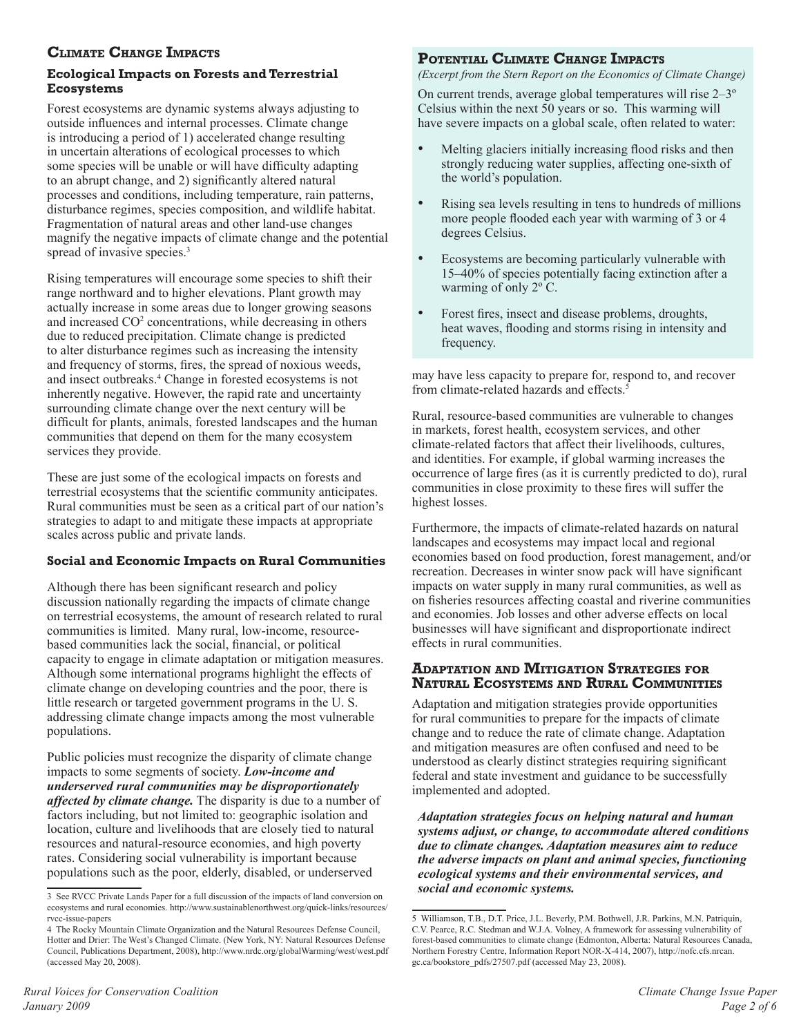## **Climate Change Impacts**

## **Ecological Impacts on Forests and Terrestrial Ecosystems**

Forest ecosystems are dynamic systems always adjusting to outside influences and internal processes. Climate change is introducing a period of 1) accelerated change resulting in uncertain alterations of ecological processes to which some species will be unable or will have difficulty adapting to an abrupt change, and 2) significantly altered natural processes and conditions, including temperature, rain patterns, disturbance regimes, species composition, and wildlife habitat. Fragmentation of natural areas and other land-use changes magnify the negative impacts of climate change and the potential spread of invasive species.<sup>3</sup>

Rising temperatures will encourage some species to shift their range northward and to higher elevations. Plant growth may actually increase in some areas due to longer growing seasons and increased CO<sup>2</sup> concentrations, while decreasing in others due to reduced precipitation. Climate change is predicted to alter disturbance regimes such as increasing the intensity and frequency of storms, fires, the spread of noxious weeds, and insect outbreaks.4 Change in forested ecosystems is not inherently negative. However, the rapid rate and uncertainty surrounding climate change over the next century will be difficult for plants, animals, forested landscapes and the human communities that depend on them for the many ecosystem services they provide.

These are just some of the ecological impacts on forests and terrestrial ecosystems that the scientific community anticipates. Rural communities must be seen as a critical part of our nation's strategies to adapt to and mitigate these impacts at appropriate scales across public and private lands.

## **Social and Economic Impacts on Rural Communities**

Although there has been significant research and policy discussion nationally regarding the impacts of climate change on terrestrial ecosystems, the amount of research related to rural communities is limited. Many rural, low-income, resourcebased communities lack the social, financial, or political capacity to engage in climate adaptation or mitigation measures. Although some international programs highlight the effects of climate change on developing countries and the poor, there is little research or targeted government programs in the U. S. addressing climate change impacts among the most vulnerable populations.

Public policies must recognize the disparity of climate change impacts to some segments of society. *Low-income and underserved rural communities may be disproportionately affected by climate change.* The disparity is due to a number of factors including, but not limited to: geographic isolation and location, culture and livelihoods that are closely tied to natural resources and natural-resource economies, and high poverty rates. Considering social vulnerability is important because populations such as the poor, elderly, disabled, or underserved

## **Potential Climate Change Impacts**

*(Excerpt from the Stern Report on the Economics of Climate Change)*

On current trends, average global temperatures will rise 2–3º Celsius within the next 50 years or so. This warming will have severe impacts on a global scale, often related to water:

- Melting glaciers initially increasing flood risks and then strongly reducing water supplies, affecting one-sixth of the world's population.
- Rising sea levels resulting in tens to hundreds of millions more people flooded each year with warming of 3 or 4 degrees Celsius.
- Ecosystems are becoming particularly vulnerable with 15–40% of species potentially facing extinction after a warming of only 2º C.
- Forest fires, insect and disease problems, droughts, heat waves, flooding and storms rising in intensity and frequency.

may have less capacity to prepare for, respond to, and recover from climate-related hazards and effects.<sup>5</sup>

Rural, resource-based communities are vulnerable to changes in markets, forest health, ecosystem services, and other climate-related factors that affect their livelihoods, cultures, and identities. For example, if global warming increases the occurrence of large fires (as it is currently predicted to do), rural communities in close proximity to these fires will suffer the highest losses.

Furthermore, the impacts of climate-related hazards on natural landscapes and ecosystems may impact local and regional economies based on food production, forest management, and/or recreation. Decreases in winter snow pack will have significant impacts on water supply in many rural communities, as well as on fisheries resources affecting coastal and riverine communities and economies. Job losses and other adverse effects on local businesses will have significant and disproportionate indirect effects in rural communities.

## **Adaptation and Mitigation Strategies for Natural Ecosystems and Rural Communities**

Adaptation and mitigation strategies provide opportunities for rural communities to prepare for the impacts of climate change and to reduce the rate of climate change. Adaptation and mitigation measures are often confused and need to be understood as clearly distinct strategies requiring significant federal and state investment and guidance to be successfully implemented and adopted.

*Adaptation strategies focus on helping natural and human systems adjust, or change, to accommodate altered conditions due to climate changes. Adaptation measures aim to reduce the adverse impacts on plant and animal species, functioning ecological systems and their environmental services, and social and economic systems.*

<sup>3</sup> See RVCC Private Lands Paper for a full discussion of the impacts of land conversion on ecosystems and rural economies. http://www.sustainablenorthwest.org/quick-links/resources/ rvcc-issue-papers

<sup>4</sup> The Rocky Mountain Climate Organization and the Natural Resources Defense Council, Hotter and Drier: The West's Changed Climate. (New York, NY: Natural Resources Defense Council, Publications Department, 2008), http://www.nrdc.org/globalWarming/west/west.pdf (accessed May 20, 2008).

<sup>5</sup> Williamson, T.B., D.T. Price, J.L. Beverly, P.M. Bothwell, J.R. Parkins, M.N. Patriquin, C.V. Pearce, R.C. Stedman and W.J.A. Volney, A framework for assessing vulnerability of forest-based communities to climate change (Edmonton, Alberta: Natural Resources Canada, Northern Forestry Centre, Information Report NOR-X-414, 2007), http://nofc.cfs.nrcan. gc.ca/bookstore\_pdfs/27507.pdf (accessed May 23, 2008).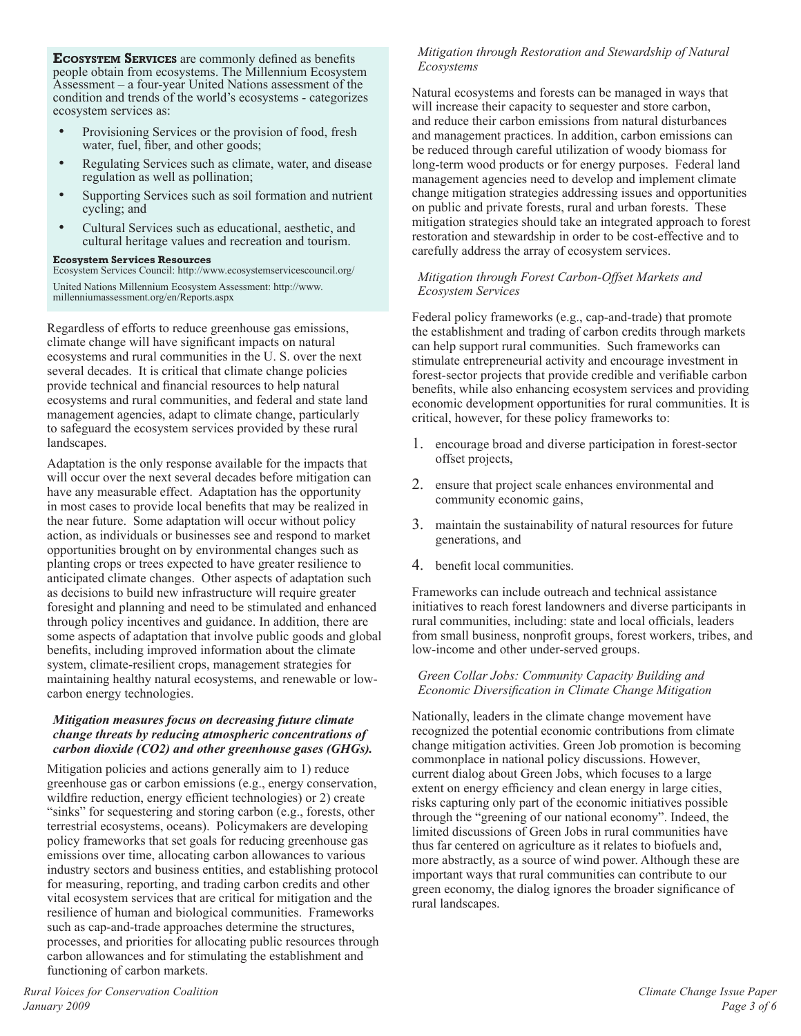**Ecosystem Services** are commonly defined as benefits people obtain from ecosystems. The Millennium Ecosystem Assessment – a four-year United Nations assessment of the condition and trends of the world's ecosystems - categorizes ecosystem services as:

- Provisioning Services or the provision of food, fresh water, fuel, fiber, and other goods;
- Regulating Services such as climate, water, and disease regulation as well as pollination;
- Supporting Services such as soil formation and nutrient cycling; and
- Cultural Services such as educational, aesthetic, and cultural heritage values and recreation and tourism.

#### **Ecosystem Services Resources**

Ecosystem Services Council: http://www.ecosystemservicescouncil.org/ United Nations Millennium Ecosystem Assessment: http://www. millenniumassessment.org/en/Reports.aspx

Regardless of efforts to reduce greenhouse gas emissions, climate change will have significant impacts on natural ecosystems and rural communities in the U. S. over the next several decades. It is critical that climate change policies provide technical and financial resources to help natural ecosystems and rural communities, and federal and state land management agencies, adapt to climate change, particularly to safeguard the ecosystem services provided by these rural landscapes.

Adaptation is the only response available for the impacts that will occur over the next several decades before mitigation can have any measurable effect. Adaptation has the opportunity in most cases to provide local benefits that may be realized in the near future. Some adaptation will occur without policy action, as individuals or businesses see and respond to market opportunities brought on by environmental changes such as planting crops or trees expected to have greater resilience to anticipated climate changes. Other aspects of adaptation such as decisions to build new infrastructure will require greater foresight and planning and need to be stimulated and enhanced through policy incentives and guidance. In addition, there are some aspects of adaptation that involve public goods and global benefits, including improved information about the climate system, climate-resilient crops, management strategies for maintaining healthy natural ecosystems, and renewable or lowcarbon energy technologies.

#### *Mitigation measures focus on decreasing future climate change threats by reducing atmospheric concentrations of carbon dioxide (CO2) and other greenhouse gases (GHGs).*

Mitigation policies and actions generally aim to 1) reduce greenhouse gas or carbon emissions (e.g., energy conservation, wildfire reduction, energy efficient technologies) or 2) create "sinks" for sequestering and storing carbon (e.g., forests, other terrestrial ecosystems, oceans). Policymakers are developing policy frameworks that set goals for reducing greenhouse gas emissions over time, allocating carbon allowances to various industry sectors and business entities, and establishing protocol for measuring, reporting, and trading carbon credits and other vital ecosystem services that are critical for mitigation and the resilience of human and biological communities. Frameworks such as cap-and-trade approaches determine the structures, processes, and priorities for allocating public resources through carbon allowances and for stimulating the establishment and functioning of carbon markets.

## *Mitigation through Restoration and Stewardship of Natural Ecosystems*

Natural ecosystems and forests can be managed in ways that will increase their capacity to sequester and store carbon, and reduce their carbon emissions from natural disturbances and management practices. In addition, carbon emissions can be reduced through careful utilization of woody biomass for long-term wood products or for energy purposes. Federal land management agencies need to develop and implement climate change mitigation strategies addressing issues and opportunities on public and private forests, rural and urban forests. These mitigation strategies should take an integrated approach to forest restoration and stewardship in order to be cost-effective and to carefully address the array of ecosystem services.

#### *Mitigation through Forest Carbon-Offset Markets and Ecosystem Services*

Federal policy frameworks (e.g., cap-and-trade) that promote the establishment and trading of carbon credits through markets can help support rural communities. Such frameworks can stimulate entrepreneurial activity and encourage investment in forest-sector projects that provide credible and verifiable carbon benefits, while also enhancing ecosystem services and providing economic development opportunities for rural communities. It is critical, however, for these policy frameworks to:

- 1. encourage broad and diverse participation in forest-sector offset projects,
- 2. ensure that project scale enhances environmental and community economic gains,
- 3. maintain the sustainability of natural resources for future generations, and
- 4. benefit local communities.

Frameworks can include outreach and technical assistance initiatives to reach forest landowners and diverse participants in rural communities, including: state and local officials, leaders from small business, nonprofit groups, forest workers, tribes, and low-income and other under-served groups.

#### *Green Collar Jobs: Community Capacity Building and Economic Diversification in Climate Change Mitigation*

Nationally, leaders in the climate change movement have recognized the potential economic contributions from climate change mitigation activities. Green Job promotion is becoming commonplace in national policy discussions. However, current dialog about Green Jobs, which focuses to a large extent on energy efficiency and clean energy in large cities, risks capturing only part of the economic initiatives possible through the "greening of our national economy". Indeed, the limited discussions of Green Jobs in rural communities have thus far centered on agriculture as it relates to biofuels and, more abstractly, as a source of wind power. Although these are important ways that rural communities can contribute to our green economy, the dialog ignores the broader significance of rural landscapes.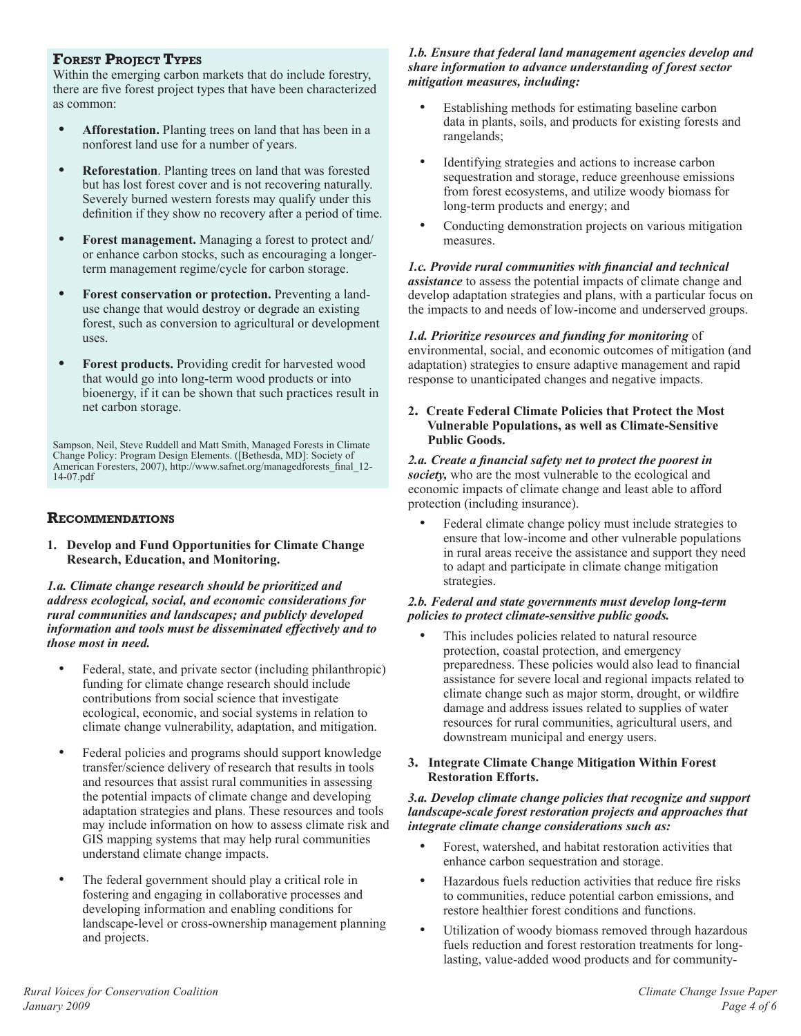## **Forest Project Types**

Within the emerging carbon markets that do include forestry, there are five forest project types that have been characterized as common:

- **• Afforestation.** Planting trees on land that has been in a nonforest land use for a number of years.
- **• Reforestation**. Planting trees on land that was forested but has lost forest cover and is not recovering naturally. Severely burned western forests may qualify under this definition if they show no recovery after a period of time.
- **• Forest management.** Managing a forest to protect and/ or enhance carbon stocks, such as encouraging a longerterm management regime/cycle for carbon storage.
- **• Forest conservation or protection.** Preventing a landuse change that would destroy or degrade an existing forest, such as conversion to agricultural or development uses.
- **• Forest products.** Providing credit for harvested wood that would go into long-term wood products or into bioenergy, if it can be shown that such practices result in net carbon storage.

Sampson, Neil, Steve Ruddell and Matt Smith, Managed Forests in Climate Change Policy: Program Design Elements. ([Bethesda, MD]: Society of American Foresters, 2007), http://www.safnet.org/managedforests\_final\_12-14-07.pdf

## **Recommendations**

**1. Develop and Fund Opportunities for Climate Change Research, Education, and Monitoring.**

*1.a. Climate change research should be prioritized and address ecological, social, and economic considerations for rural communities and landscapes; and publicly developed information and tools must be disseminated effectively and to those most in need.*

- Federal, state, and private sector (including philanthropic) funding for climate change research should include contributions from social science that investigate ecological, economic, and social systems in relation to climate change vulnerability, adaptation, and mitigation.
- Federal policies and programs should support knowledge transfer/science delivery of research that results in tools and resources that assist rural communities in assessing the potential impacts of climate change and developing adaptation strategies and plans. These resources and tools may include information on how to assess climate risk and GIS mapping systems that may help rural communities understand climate change impacts.
- The federal government should play a critical role in fostering and engaging in collaborative processes and developing information and enabling conditions for landscape-level or cross-ownership management planning and projects.

#### *1.b. Ensure that federal land management agencies develop and share information to advance understanding of forest sector mitigation measures, including:*

- Establishing methods for estimating baseline carbon data in plants, soils, and products for existing forests and rangelands;
- Identifying strategies and actions to increase carbon sequestration and storage, reduce greenhouse emissions from forest ecosystems, and utilize woody biomass for long-term products and energy; and
- Conducting demonstration projects on various mitigation measures.

#### *1.c. Provide rural communities with financial and technical assistance* to assess the potential impacts of climate change and develop adaptation strategies and plans, with a particular focus on the impacts to and needs of low-income and underserved groups.

## *1.d. Prioritize resources and funding for monitoring* of

environmental, social, and economic outcomes of mitigation (and adaptation) strategies to ensure adaptive management and rapid response to unanticipated changes and negative impacts.

**2. Create Federal Climate Policies that Protect the Most Vulnerable Populations, as well as Climate-Sensitive Public Goods.** 

#### *2.a. Create a financial safety net to protect the poorest in society,* who are the most vulnerable to the ecological and economic impacts of climate change and least able to afford protection (including insurance).

Federal climate change policy must include strategies to ensure that low-income and other vulnerable populations in rural areas receive the assistance and support they need to adapt and participate in climate change mitigation strategies.

## *2.b. Federal and state governments must develop long-term policies to protect climate-sensitive public goods.*

- This includes policies related to natural resource protection, coastal protection, and emergency preparedness. These policies would also lead to financial assistance for severe local and regional impacts related to climate change such as major storm, drought, or wildfire damage and address issues related to supplies of water resources for rural communities, agricultural users, and downstream municipal and energy users.
- **3. Integrate Climate Change Mitigation Within Forest Restoration Efforts.**

### *3.a. Develop climate change policies that recognize and support landscape-scale forest restoration projects and approaches that integrate climate change considerations such as:*

- Forest, watershed, and habitat restoration activities that enhance carbon sequestration and storage.
- Hazardous fuels reduction activities that reduce fire risks to communities, reduce potential carbon emissions, and restore healthier forest conditions and functions.
- Utilization of woody biomass removed through hazardous fuels reduction and forest restoration treatments for longlasting, value-added wood products and for community-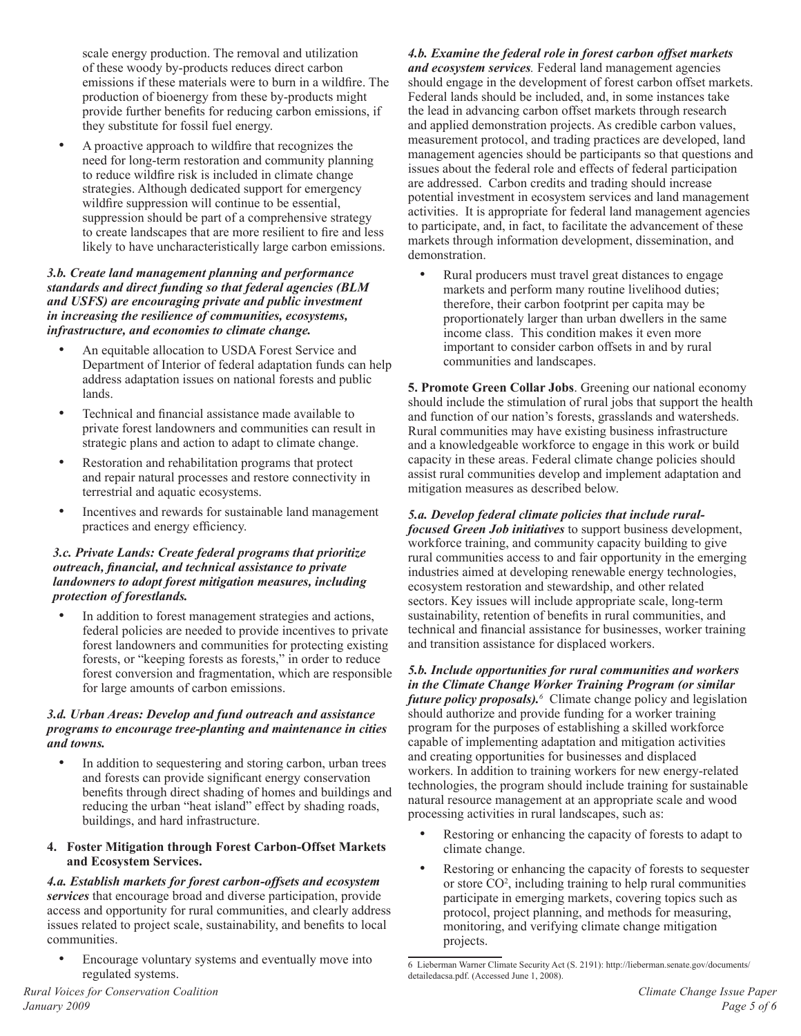scale energy production. The removal and utilization of these woody by-products reduces direct carbon emissions if these materials were to burn in a wildfire. The production of bioenergy from these by-products might provide further benefits for reducing carbon emissions, if they substitute for fossil fuel energy.

• A proactive approach to wildfire that recognizes the need for long-term restoration and community planning to reduce wildfire risk is included in climate change strategies. Although dedicated support for emergency wildfire suppression will continue to be essential, suppression should be part of a comprehensive strategy to create landscapes that are more resilient to fire and less likely to have uncharacteristically large carbon emissions.

#### *3.b. Create land management planning and performance standards and direct funding so that federal agencies (BLM and USFS) are encouraging private and public investment in increasing the resilience of communities, ecosystems, infrastructure, and economies to climate change.*

- An equitable allocation to USDA Forest Service and Department of Interior of federal adaptation funds can help address adaptation issues on national forests and public lands.
- Technical and financial assistance made available to private forest landowners and communities can result in strategic plans and action to adapt to climate change.
- Restoration and rehabilitation programs that protect and repair natural processes and restore connectivity in terrestrial and aquatic ecosystems.
- Incentives and rewards for sustainable land management practices and energy efficiency.

#### *3.c. Private Lands: Create federal programs that prioritize outreach, financial, and technical assistance to private landowners to adopt forest mitigation measures, including protection of forestlands.*

In addition to forest management strategies and actions, federal policies are needed to provide incentives to private forest landowners and communities for protecting existing forests, or "keeping forests as forests," in order to reduce forest conversion and fragmentation, which are responsible for large amounts of carbon emissions.

### *3.d. Urban Areas: Develop and fund outreach and assistance programs to encourage tree-planting and maintenance in cities and towns.*

- In addition to sequestering and storing carbon, urban trees and forests can provide significant energy conservation benefits through direct shading of homes and buildings and reducing the urban "heat island" effect by shading roads, buildings, and hard infrastructure.
- **4. Foster Mitigation through Forest Carbon-Offset Markets and Ecosystem Services.**

*4.a. Establish markets for forest carbon-offsets and ecosystem services* that encourage broad and diverse participation, provide access and opportunity for rural communities, and clearly address issues related to project scale, sustainability, and benefits to local communities.

• Encourage voluntary systems and eventually move into regulated systems.

*4.b. Examine the federal role in forest carbon offset markets and ecosystem services.* Federal land management agencies should engage in the development of forest carbon offset markets. Federal lands should be included, and, in some instances take the lead in advancing carbon offset markets through research and applied demonstration projects. As credible carbon values, measurement protocol, and trading practices are developed, land management agencies should be participants so that questions and issues about the federal role and effects of federal participation are addressed. Carbon credits and trading should increase potential investment in ecosystem services and land management activities. It is appropriate for federal land management agencies to participate, and, in fact, to facilitate the advancement of these markets through information development, dissemination, and demonstration.

• Rural producers must travel great distances to engage markets and perform many routine livelihood duties; therefore, their carbon footprint per capita may be proportionately larger than urban dwellers in the same income class. This condition makes it even more important to consider carbon offsets in and by rural communities and landscapes.

**5. Promote Green Collar Jobs**. Greening our national economy should include the stimulation of rural jobs that support the health and function of our nation's forests, grasslands and watersheds. Rural communities may have existing business infrastructure and a knowledgeable workforce to engage in this work or build capacity in these areas. Federal climate change policies should assist rural communities develop and implement adaptation and mitigation measures as described below.

## *5.a. Develop federal climate policies that include rural-*

*focused Green Job initiatives* to support business development, workforce training, and community capacity building to give rural communities access to and fair opportunity in the emerging industries aimed at developing renewable energy technologies, ecosystem restoration and stewardship, and other related sectors. Key issues will include appropriate scale, long-term sustainability, retention of benefits in rural communities, and technical and financial assistance for businesses, worker training and transition assistance for displaced workers.

*5.b. Include opportunities for rural communities and workers in the Climate Change Worker Training Program (or similar future policy proposals).<sup>6</sup>* Climate change policy and legislation should authorize and provide funding for a worker training program for the purposes of establishing a skilled workforce capable of implementing adaptation and mitigation activities and creating opportunities for businesses and displaced workers. In addition to training workers for new energy-related technologies, the program should include training for sustainable natural resource management at an appropriate scale and wood processing activities in rural landscapes, such as:

- Restoring or enhancing the capacity of forests to adapt to climate change.
- Restoring or enhancing the capacity of forests to sequester or store CO<sup>2</sup>, including training to help rural communities participate in emerging markets, covering topics such as protocol, project planning, and methods for measuring, monitoring, and verifying climate change mitigation projects.

<sup>6</sup> Lieberman Warner Climate Security Act (S. 2191): http://lieberman.senate.gov/documents/ detailedacsa.pdf. (Accessed June 1, 2008).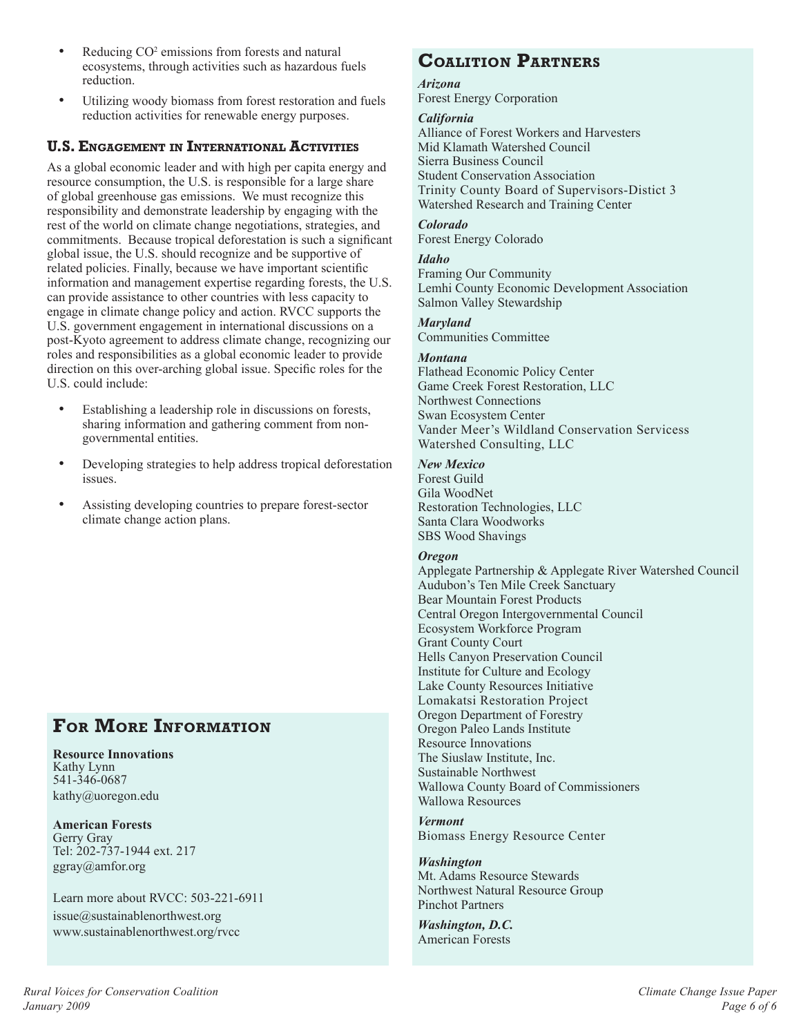- Reducing CO<sup>2</sup> emissions from forests and natural ecosystems, through activities such as hazardous fuels reduction.
- Utilizing woody biomass from forest restoration and fuels reduction activities for renewable energy purposes.

## **U.S. Engagement in International Activities**

As a global economic leader and with high per capita energy and resource consumption, the U.S. is responsible for a large share of global greenhouse gas emissions. We must recognize this responsibility and demonstrate leadership by engaging with the rest of the world on climate change negotiations, strategies, and commitments. Because tropical deforestation is such a significant global issue, the U.S. should recognize and be supportive of related policies. Finally, because we have important scientific information and management expertise regarding forests, the U.S. can provide assistance to other countries with less capacity to engage in climate change policy and action. RVCC supports the U.S. government engagement in international discussions on a post-Kyoto agreement to address climate change, recognizing our roles and responsibilities as a global economic leader to provide direction on this over-arching global issue. Specific roles for the U.S. could include:

- Establishing a leadership role in discussions on forests, sharing information and gathering comment from nongovernmental entities.
- Developing strategies to help address tropical deforestation issues.
- Assisting developing countries to prepare forest-sector climate change action plans.

## **For More Information**

#### **Resource Innovations** Kathy Lynn 541-346-0687 kathy@uoregon.edu

**American Forests** Gerry Gray Tel: 202-737-1944 ext. 217 ggray@amfor.org

### Learn more about RVCC: 503-221-6911  $is sue@sustainable northwest.org$

www.sustainablenorthwest.org/rvcc

## **Coalition Partners**

*Arizona* Forest Energy Corporation

## *California*

Alliance of Forest Workers and Harvesters Mid Klamath Watershed Council Sierra Business Council Student Conservation Association Trinity County Board of Supervisors-Distict 3 Watershed Research and Training Center

### *Colorado*

Forest Energy Colorado

### *Idaho*

Framing Our Community Lemhi County Economic Development Association Salmon Valley Stewardship

## *Maryland*

Communities Committee

## *Montana*

Flathead Economic Policy Center Game Creek Forest Restoration, LLC Northwest Connections Swan Ecosystem Center Vander Meer's Wildland Conservation Servicess Watershed Consulting, LLC

## *New Mexico*

Forest Guild Gila WoodNet Restoration Technologies, LLC Santa Clara Woodworks SBS Wood Shavings

### *Oregon*

Applegate Partnership & Applegate River Watershed Council Audubon's Ten Mile Creek Sanctuary Bear Mountain Forest Products Central Oregon Intergovernmental Council Ecosystem Workforce Program Grant County Court Hells Canyon Preservation Council Institute for Culture and Ecology Lake County Resources Initiative Lomakatsi Restoration Project Oregon Department of Forestry Oregon Paleo Lands Institute Resource Innovations The Siuslaw Institute, Inc. Sustainable Northwest Wallowa County Board of Commissioners Wallowa Resources

#### *Vermont* Biomass Energy Resource Center

*Washington* Mt. Adams Resource Stewards Northwest Natural Resource Group Pinchot Partners

#### *Washington, D.C.* American Forests